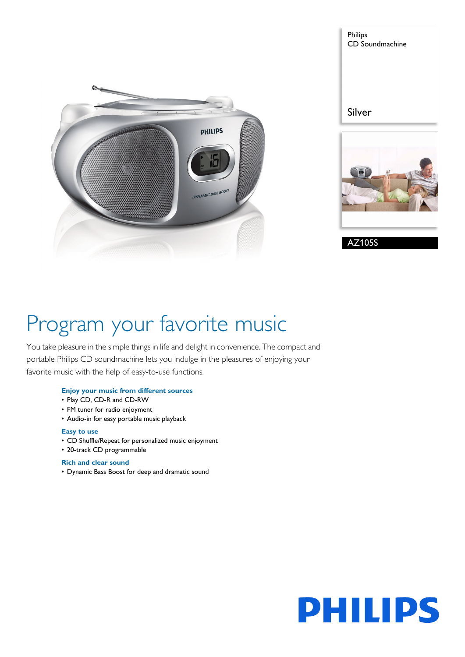



# Program your favorite music

You take pleasure in the simple things in life and delight in convenience. The compact and portable Philips CD soundmachine lets you indulge in the pleasures of enjoying your favorite music with the help of easy-to-use functions.

# **Enjoy your music from different sources**

- Play CD, CD-R and CD-RW
- FM tuner for radio enjoyment
- Audio-in for easy portable music playback

## **Easy to use**

- CD Shuffle/Repeat for personalized music enjoyment
- 20-track CD programmable

# **Rich and clear sound**

• Dynamic Bass Boost for deep and dramatic sound